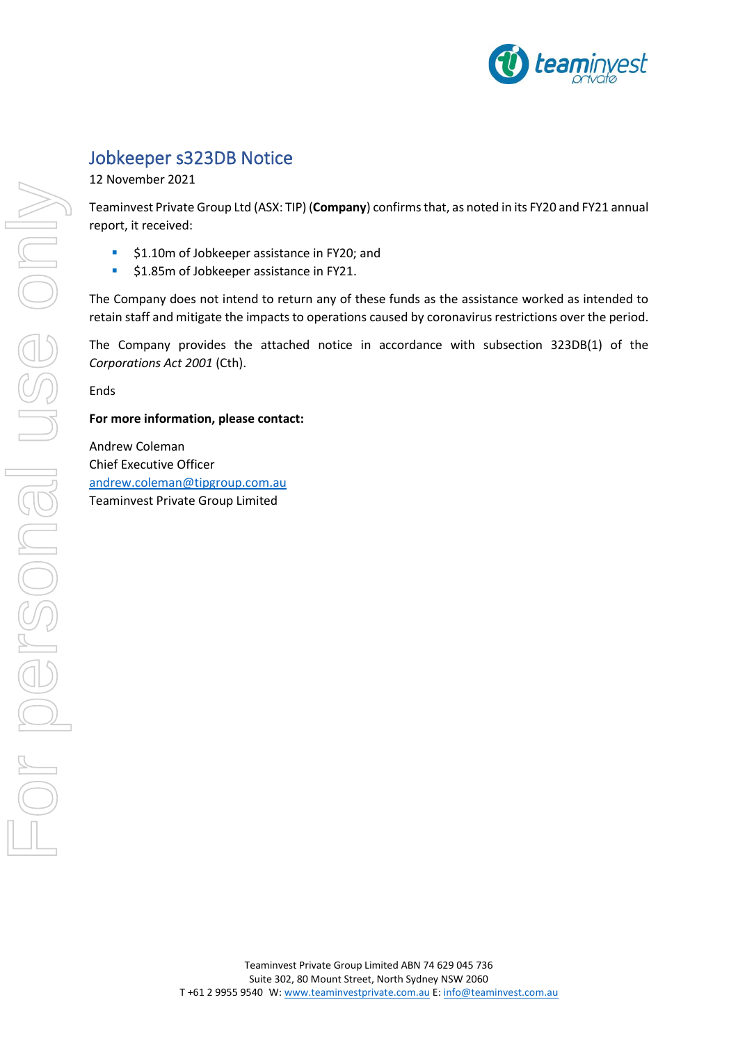

## Jobkeeper s323DB Notice

12 November 2021

Teaminvest Private Group Ltd (ASX: TIP) (**Company**) confirms that, as noted in its FY20 and FY21 annual report, it received:

- \$1.10m of Jobkeeper assistance in FY20; and
- \$1.85m of Jobkeeper assistance in FY21.

The Company does not intend to return any of these funds as the assistance worked as intended to retain staff and mitigate the impacts to operations caused by coronavirus restrictions over the period.

The Company provides the attached notice in accordance with subsection 323DB(1) of the *Corporations Act 2001* (Cth).

Ends

**For more information, please contact:**

Andrew Coleman Chief Executive Officer [andrew.coleman@tipgroup.com.au](mailto:andrew.coleman@tipgroup.com.au) Teaminvest Private Group Limited